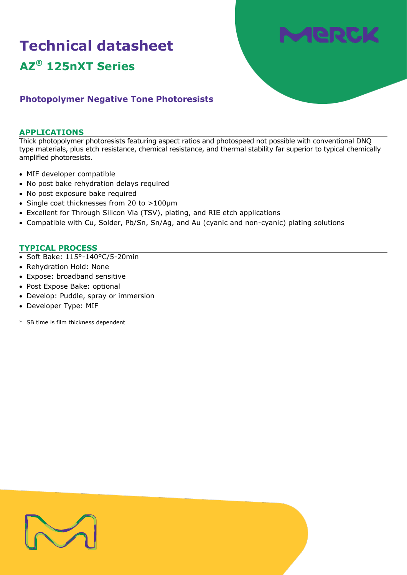# **Technical datasheet AZ® 125nXT Series**



# **Photopolymer Negative Tone Photoresists**

# **APPLICATIONS**

Thick photopolymer photoresists featuring aspect ratios and photospeed not possible with conventional DNQ type materials, plus etch resistance, chemical resistance, and thermal stability far superior to typical chemically amplified photoresists.

- MIF developer compatible
- No post bake rehydration delays required
- No post exposure bake required
- Single coat thicknesses from 20 to >100µm
- Excellent for Through Silicon Via (TSV), plating, and RIE etch applications
- Compatible with Cu, Solder, Pb/Sn, Sn/Ag, and Au (cyanic and non-cyanic) plating solutions

# **TYPICAL PROCESS**

- Soft Bake: 115°-140°C/5-20min
- Rehydration Hold: None
- Expose: broadband sensitive
- Post Expose Bake: optional
- Develop: Puddle, spray or immersion
- Developer Type: MIF
- \* SB time is film thickness dependent

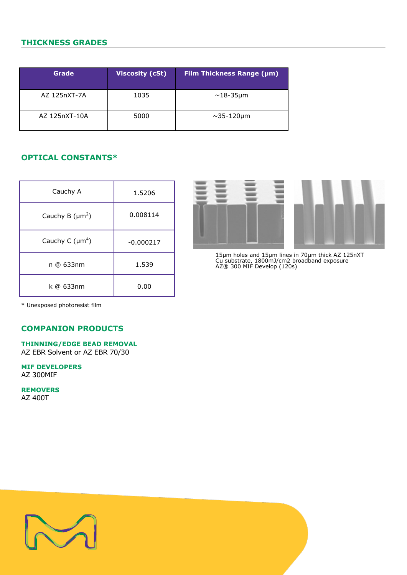# **THICKNESS GRADES**

| Grade         | <b>Viscosity (cSt)</b> | <b>Film Thickness Range (µm)</b> |
|---------------|------------------------|----------------------------------|
| AZ 125nXT-7A  | 1035                   | $\sim$ 18-35µm                   |
| AZ 125nXT-10A | 5000                   | $\sim$ 35-120µm                  |

# **OPTICAL CONSTANTS\***

| Cauchy A             | 1.5206      |
|----------------------|-------------|
| Cauchy B $(\mu m^2)$ | 0.008114    |
| Cauchy C $(\mu m^4)$ | $-0.000217$ |
| n @ 633nm            | 1.539       |
| k @ 633nm            | 0.00        |



15µm holes and 15µm lines in 70µm thick AZ 125nXT Cu substrate, 1800mJ/cm2 broadband exposure AZ® 300 MIF Develop (120s)

\* Unexposed photoresist film

# **COMPANION PRODUCTS**

**THINNING/EDGE BEAD REMOVAL** AZ EBR Solvent or AZ EBR 70/30

**MIF DEVELOPERS** AZ 300MIF

**REMOVERS** AZ 400T

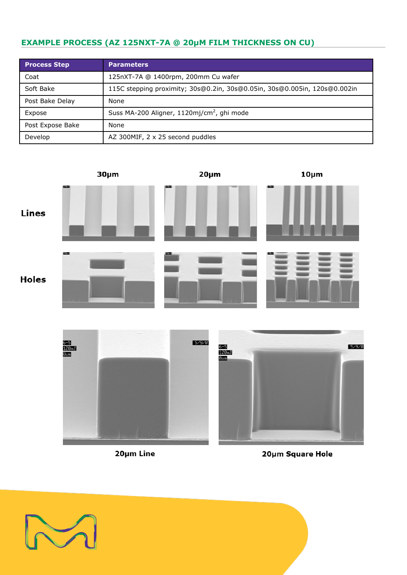# **EXAMPLE PROCESS (AZ 125NXT-7A @ 20µM FILM THICKNESS ON CU)**

| <b>Process Step</b> | <b>Parameters</b>                                                         |  |  |
|---------------------|---------------------------------------------------------------------------|--|--|
| Coat                | 125nXT-7A @ 1400rpm, 200mm Cu wafer                                       |  |  |
| Soft Bake           | 115C stepping proximity; 30s@0.2in, 30s@0.05in, 30s@0.005in, 120s@0.002in |  |  |
| Post Bake Delay     | None                                                                      |  |  |
| Expose              | Suss MA-200 Aligner, 1120mj/cm <sup>2</sup> , ghi mode                    |  |  |
| Post Expose Bake    | None                                                                      |  |  |
| Develop             | AZ 300MIF, 2 x 25 second puddles                                          |  |  |



20µm Line



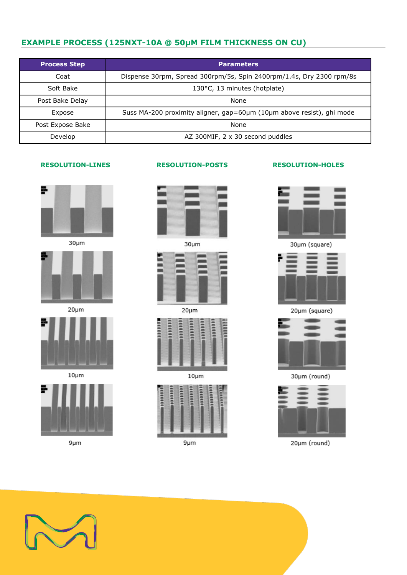# **EXAMPLE PROCESS (125NXT-10A @ 50µM FILM THICKNESS ON CU)**

| <b>Process Step</b> | <b>Parameters</b>                                                     |  |  |
|---------------------|-----------------------------------------------------------------------|--|--|
| Coat                | Dispense 30rpm, Spread 300rpm/5s, Spin 2400rpm/1.4s, Dry 2300 rpm/8s  |  |  |
| Soft Bake           | 130°C, 13 minutes (hotplate)                                          |  |  |
| Post Bake Delay     | None                                                                  |  |  |
| Expose              | Suss MA-200 proximity aligner, gap=60µm (10µm above resist), ghi mode |  |  |
| Post Expose Bake    | None                                                                  |  |  |
| Develop             | AZ 300MIF, 2 x 30 second puddles                                      |  |  |

# ÷

 $30 \mu m$ 



 $20 \mu m$ 



 $10 \mu m$ 



 $9 \mu m$ 



 $30<sub>µ</sub>m$ 



 $20<sub>µ</sub>m$ 



 $10 \mu m$ 



 $9 \mu m$ 

# **RESOLUTION-LINES RESOLUTION-POSTS RESOLUTION-HOLES**



30µm (square)



20µm (square)



30µm (round)



20µm (round)

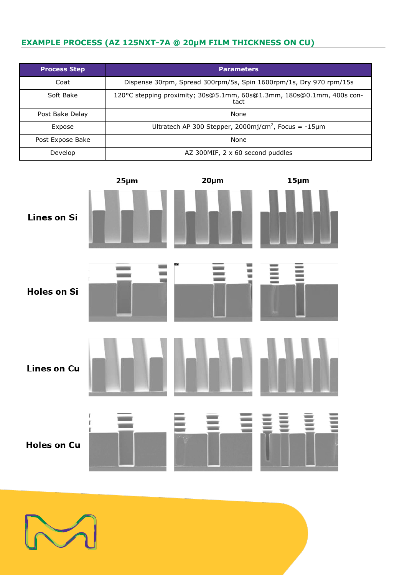# **EXAMPLE PROCESS (AZ 125NXT-7A @ 20µM FILM THICKNESS ON CU)**

| <b>Process Step</b> | <b>Parameters</b>                                                             |  |  |
|---------------------|-------------------------------------------------------------------------------|--|--|
| Coat                | Dispense 30rpm, Spread 300rpm/5s, Spin 1600rpm/1s, Dry 970 rpm/15s            |  |  |
| Soft Bake           | 120°C stepping proximity; 30s@5.1mm, 60s@1.3mm, 180s@0.1mm, 400s con-<br>tact |  |  |
| Post Bake Delay     | None                                                                          |  |  |
| Expose              | Ultratech AP 300 Stepper, 2000mj/cm <sup>2</sup> , Focus = $-15\mu$ m         |  |  |
| Post Expose Bake    | None                                                                          |  |  |
| Develop             | AZ 300MIF, $2 \times 60$ second puddles                                       |  |  |



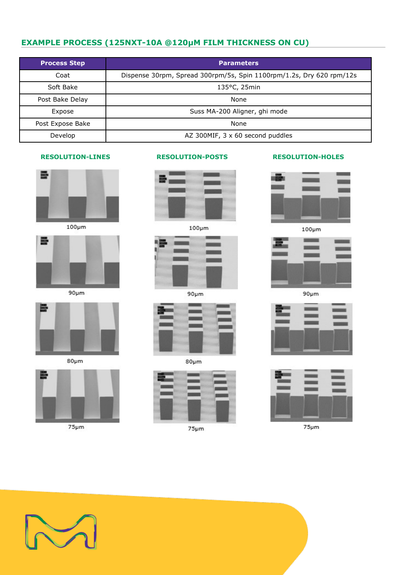# **EXAMPLE PROCESS (125NXT-10A @120µM FILM THICKNESS ON CU)**

| <b>Process Step</b> | <b>Parameters</b>                                                    |  |  |
|---------------------|----------------------------------------------------------------------|--|--|
| Coat                | Dispense 30rpm, Spread 300rpm/5s, Spin 1100rpm/1.2s, Dry 620 rpm/12s |  |  |
| Soft Bake           | $135^{\circ}$ C, $25$ min                                            |  |  |
| Post Bake Delay     | None                                                                 |  |  |
| Expose              | Suss MA-200 Aligner, ghi mode                                        |  |  |
| Post Expose Bake    | None                                                                 |  |  |
| Develop             | AZ 300MIF, 3 x 60 second puddles                                     |  |  |



 $100 \mu m$ 



 $90 \mu m$ 



 $80 \mu m$ 



 $75 \mu m$ 





 $90 \mu m$ 



 $80 \mu m$ 



 $75 \mu m$ 

# **RESOLUTION-LINES RESOLUTION-POSTS RESOLUTION-HOLES**



 $100 \mu m$ 



 $90 \mu m$ 





 $75 \mu m$ 

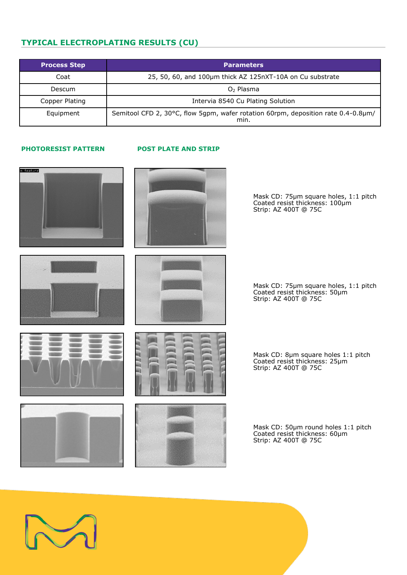# **TYPICAL ELECTROPLATING RESULTS (CU)**

| <b>Process Step</b> | <b>Parameters</b>                                                                         |  |
|---------------------|-------------------------------------------------------------------------------------------|--|
| Coat                | 25, 50, 60, and 100µm thick AZ 125nXT-10A on Cu substrate                                 |  |
| Descum              | $O2$ Plasma                                                                               |  |
| Copper Plating      | Intervia 8540 Cu Plating Solution                                                         |  |
| Equipment           | Semitool CFD 2, 30°C, flow 5gpm, wafer rotation 60rpm, deposition rate 0.4-0.8µm/<br>min. |  |

# **PHOTORESIST PATTERN POST PLATE AND STRIP**





Mask CD: 75µm square holes, 1:1 pitch Coated resist thickness: 100µm Strip: AZ 400T @ 75C







Mask CD: 75µm square holes, 1:1 pitch Coated resist thickness: 50µm Strip: AZ 400T @ 75C

Mask CD: 8µm square holes 1:1 pitch Coated resist thickness: 25µm Strip: AZ 400T @ 75C





Mask CD: 50µm round holes 1:1 pitch Coated resist thickness: 60µm Strip: AZ 400T @ 75C

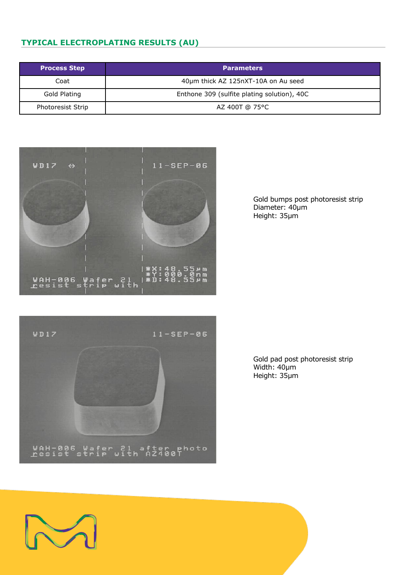# **TYPICAL ELECTROPLATING RESULTS (AU)**

| <b>Process Step</b>      | <b>Parameters</b>                           |  |
|--------------------------|---------------------------------------------|--|
| Coat                     | 40µm thick AZ 125nXT-10A on Au seed         |  |
| Gold Plating             | Enthone 309 (sulfite plating solution), 40C |  |
| <b>Photoresist Strip</b> | AZ 400T @ 75°C                              |  |



Gold bumps post photoresist strip Diameter: 40µm Height: 35µm



Gold pad post photoresist strip Width: 40µm Height: 35µm

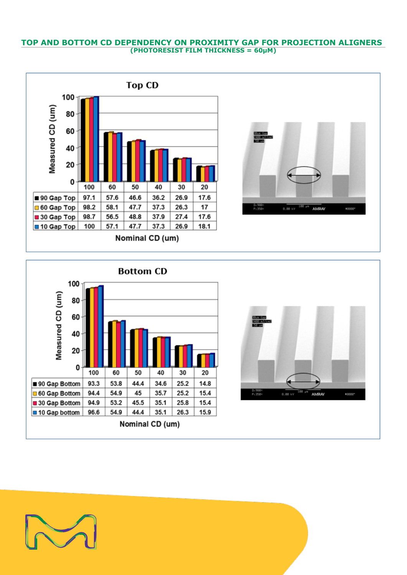# **TOP AND BOTTOM CD DEPENDENCY ON PROXIMITY GAP FOR PROJECTION ALIGNERS (PHOTORESIST FILM THICKNESS = 60µM)**









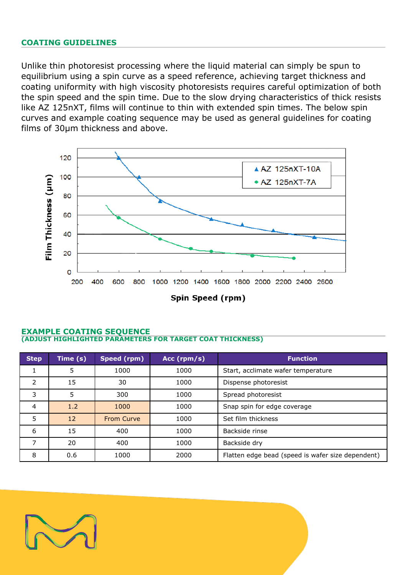# **COATING GUIDELINES**

Unlike thin photoresist processing where the liquid material can simply be spun to equilibrium using a spin curve as a speed reference, achieving target thickness and coating uniformity with high viscosity photoresists requires careful optimization of both the spin speed and the spin time. Due to the slow drying characteristics of thick resists like AZ 125nXT, films will continue to thin with extended spin times. The below spin curves and example coating sequence may be used as general guidelines for coating films of 30µm thickness and above.



# **EXAMPLE COATING SEQUENCE (ADJUST HIGHLIGHTED PARAMETERS FOR TARGET COAT THICKNESS)**

| <b>Step</b> | Time (s) | Speed (rpm)       | Acc $(rpm/s)$ | <b>Function</b>                                   |
|-------------|----------|-------------------|---------------|---------------------------------------------------|
|             | 5        | 1000              | 1000          | Start, acclimate wafer temperature                |
| 2           | 15       | 30                | 1000          | Dispense photoresist                              |
| 3           | 5        | 300               | 1000          | Spread photoresist                                |
| 4           | 1.2      | 1000              | 1000          | Snap spin for edge coverage                       |
| 5           | 12       | <b>From Curve</b> | 1000          | Set film thickness                                |
| 6           | 15       | 400               | 1000          | Backside rinse                                    |
|             | 20       | 400               | 1000          | Backside dry                                      |
| 8           | 0.6      | 1000              | 2000          | Flatten edge bead (speed is wafer size dependent) |

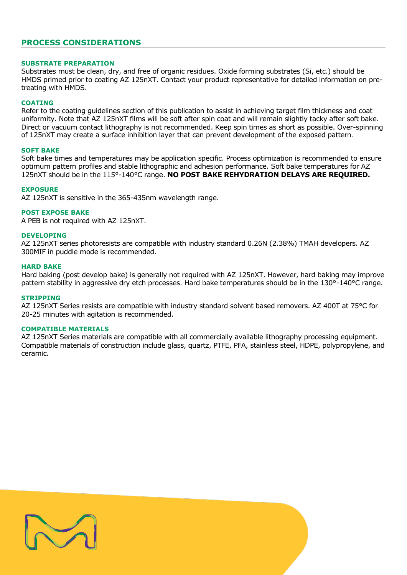# **PROCESS CONSIDERATIONS**

# **SUBSTRATE PREPARATION**

Substrates must be clean, dry, and free of organic residues. Oxide forming substrates (Si, etc.) should be HMDS primed prior to coating AZ 125nXT. Contact your product representative for detailed information on pretreating with HMDS.

### **COATING**

Refer to the coating guidelines section of this publication to assist in achieving target film thickness and coat uniformity. Note that AZ 125nXT films will be soft after spin coat and will remain slightly tacky after soft bake. Direct or vacuum contact lithography is not recommended. Keep spin times as short as possible. Over-spinning of 125nXT may create a surface inhibition layer that can prevent development of the exposed pattern.

### **SOFT BAKE**

Soft bake times and temperatures may be application specific. Process optimization is recommended to ensure optimum pattern profiles and stable lithographic and adhesion performance. Soft bake temperatures for AZ 125nXT should be in the 115°-140°C range. **NO POST BAKE REHYDRATION DELAYS ARE REQUIRED.**

### **EXPOSURE**

AZ 125nXT is sensitive in the 365-435nm wavelength range.

# **POST EXPOSE BAKE**

A PEB is not required with AZ 125nXT.

### **DEVELOPING**

AZ 125nXT series photoresists are compatible with industry standard 0.26N (2.38%) TMAH developers. AZ 300MIF in puddle mode is recommended.

### **HARD BAKE**

Hard baking (post develop bake) is generally not required with AZ 125nXT. However, hard baking may improve pattern stability in aggressive dry etch processes. Hard bake temperatures should be in the 130°-140°C range.

### **STRIPPING**

AZ 125nXT Series resists are compatible with industry standard solvent based removers. AZ 400T at 75°C for 20-25 minutes with agitation is recommended.

### **COMPATIBLE MATERIALS**

AZ 125nXT Series materials are compatible with all commercially available lithography processing equipment. Compatible materials of construction include glass, quartz, PTFE, PFA, stainless steel, HDPE, polypropylene, and ceramic.